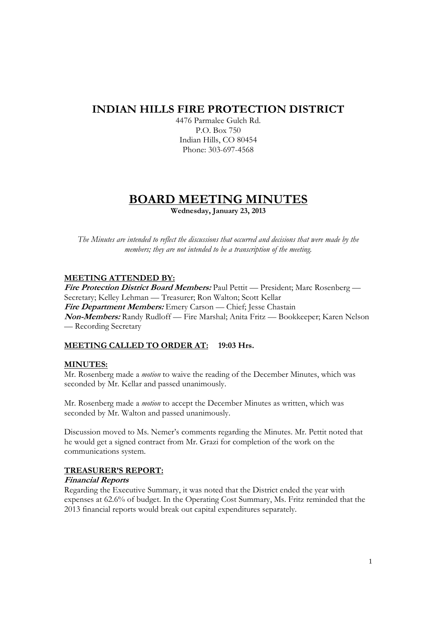# **INDIAN HILLS FIRE PROTECTION DISTRICT**

4476 Parmalee Gulch Rd. P.O. Box 750 Indian Hills, CO 80454 Phone: 303-697-4568

# **BOARD MEETING MINUTES**

**Wednesday, January 23, 2013** 

*The Minutes are intended to reflect the discussions that occurred and decisions that were made by the members; they are not intended to be a transcription of the meeting.* 

## **MEETING ATTENDED BY:**

**Fire Protection District Board Members:** Paul Pettit — President; Marc Rosenberg — Secretary; Kelley Lehman — Treasurer; Ron Walton; Scott Kellar **Fire Department Members:** Emery Carson — Chief; Jesse Chastain **Non-Members:** Randy Rudloff — Fire Marshal; Anita Fritz — Bookkeeper; Karen Nelson — Recording Secretary

## **MEETING CALLED TO ORDER AT: 19:03 Hrs.**

## **MINUTES:**

Mr. Rosenberg made a *motion* to waive the reading of the December Minutes, which was seconded by Mr. Kellar and passed unanimously.

Mr. Rosenberg made a *motion* to accept the December Minutes as written, which was seconded by Mr. Walton and passed unanimously.

Discussion moved to Ms. Nemer's comments regarding the Minutes. Mr. Pettit noted that he would get a signed contract from Mr. Grazi for completion of the work on the communications system.

## **TREASURER'S REPORT:**

## **Financial Reports**

Regarding the Executive Summary, it was noted that the District ended the year with expenses at 62.6% of budget. In the Operating Cost Summary, Ms. Fritz reminded that the 2013 financial reports would break out capital expenditures separately.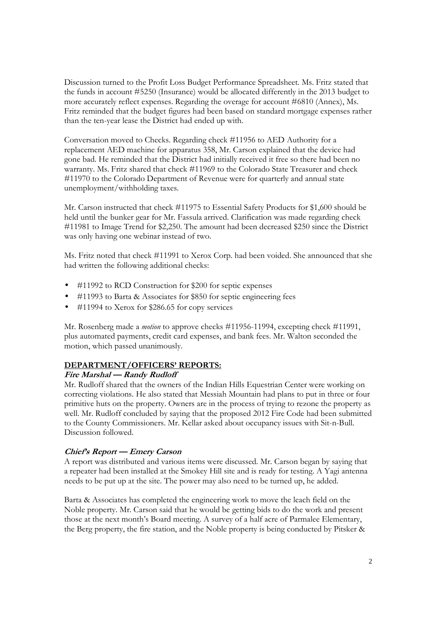Discussion turned to the Profit Loss Budget Performance Spreadsheet. Ms. Fritz stated that the funds in account #5250 (Insurance) would be allocated differently in the 2013 budget to more accurately reflect expenses. Regarding the overage for account #6810 (Annex), Ms. Fritz reminded that the budget figures had been based on standard mortgage expenses rather than the ten-year lease the District had ended up with.

Conversation moved to Checks. Regarding check #11956 to AED Authority for a replacement AED machine for apparatus 358, Mr. Carson explained that the device had gone bad. He reminded that the District had initially received it free so there had been no warranty. Ms. Fritz shared that check #11969 to the Colorado State Treasurer and check #11970 to the Colorado Department of Revenue were for quarterly and annual state unemployment/withholding taxes.

Mr. Carson instructed that check #11975 to Essential Safety Products for \$1,600 should be held until the bunker gear for Mr. Fassula arrived. Clarification was made regarding check #11981 to Image Trend for \$2,250. The amount had been decreased \$250 since the District was only having one webinar instead of two.

Ms. Fritz noted that check #11991 to Xerox Corp. had been voided. She announced that she had written the following additional checks:

- #11992 to RCD Construction for \$200 for septic expenses
- #11993 to Barta & Associates for \$850 for septic engineering fees
- #11994 to Xerox for \$286.65 for copy services

Mr. Rosenberg made a *motion* to approve checks #11956-11994, excepting check #11991, plus automated payments, credit card expenses, and bank fees. Mr. Walton seconded the motion, which passed unanimously.

## **DEPARTMENT/OFFICERS' REPORTS:**

## **Fire Marshal — Randy Rudloff**

Mr. Rudloff shared that the owners of the Indian Hills Equestrian Center were working on correcting violations. He also stated that Messiah Mountain had plans to put in three or four primitive huts on the property. Owners are in the process of trying to rezone the property as well. Mr. Rudloff concluded by saying that the proposed 2012 Fire Code had been submitted to the County Commissioners. Mr. Kellar asked about occupancy issues with Sit-n-Bull. Discussion followed.

## **Chief's Report — Emery Carson**

A report was distributed and various items were discussed. Mr. Carson began by saying that a repeater had been installed at the Smokey Hill site and is ready for testing. A Yagi antenna needs to be put up at the site. The power may also need to be turned up, he added.

Barta & Associates has completed the engineering work to move the leach field on the Noble property. Mr. Carson said that he would be getting bids to do the work and present those at the next month's Board meeting. A survey of a half acre of Parmalee Elementary, the Berg property, the fire station, and the Noble property is being conducted by Pitsker &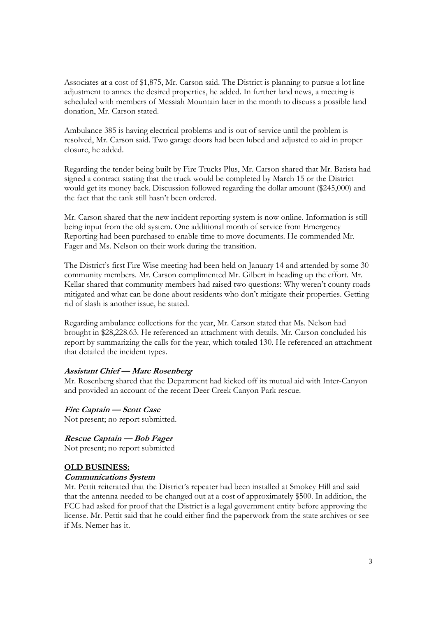Associates at a cost of \$1,875, Mr. Carson said. The District is planning to pursue a lot line adjustment to annex the desired properties, he added. In further land news, a meeting is scheduled with members of Messiah Mountain later in the month to discuss a possible land donation, Mr. Carson stated.

Ambulance 385 is having electrical problems and is out of service until the problem is resolved, Mr. Carson said. Two garage doors had been lubed and adjusted to aid in proper closure, he added.

Regarding the tender being built by Fire Trucks Plus, Mr. Carson shared that Mr. Batista had signed a contract stating that the truck would be completed by March 15 or the District would get its money back. Discussion followed regarding the dollar amount (\$245,000) and the fact that the tank still hasn't been ordered.

Mr. Carson shared that the new incident reporting system is now online. Information is still being input from the old system. One additional month of service from Emergency Reporting had been purchased to enable time to move documents. He commended Mr. Fager and Ms. Nelson on their work during the transition.

The District's first Fire Wise meeting had been held on January 14 and attended by some 30 community members. Mr. Carson complimented Mr. Gilbert in heading up the effort. Mr. Kellar shared that community members had raised two questions: Why weren't county roads mitigated and what can be done about residents who don't mitigate their properties. Getting rid of slash is another issue, he stated.

Regarding ambulance collections for the year, Mr. Carson stated that Ms. Nelson had brought in \$28,228.63. He referenced an attachment with details. Mr. Carson concluded his report by summarizing the calls for the year, which totaled 130. He referenced an attachment that detailed the incident types.

#### **Assistant Chief — Marc Rosenberg**

Mr. Rosenberg shared that the Department had kicked off its mutual aid with Inter-Canyon and provided an account of the recent Deer Creek Canyon Park rescue.

**Fire Captain — Scott Case**  Not present; no report submitted.

**Rescue Captain — Bob Fager**  Not present; no report submitted

#### **OLD BUSINESS:**

#### **Communications System**

Mr. Pettit reiterated that the District's repeater had been installed at Smokey Hill and said that the antenna needed to be changed out at a cost of approximately \$500. In addition, the FCC had asked for proof that the District is a legal government entity before approving the license. Mr. Pettit said that he could either find the paperwork from the state archives or see if Ms. Nemer has it.